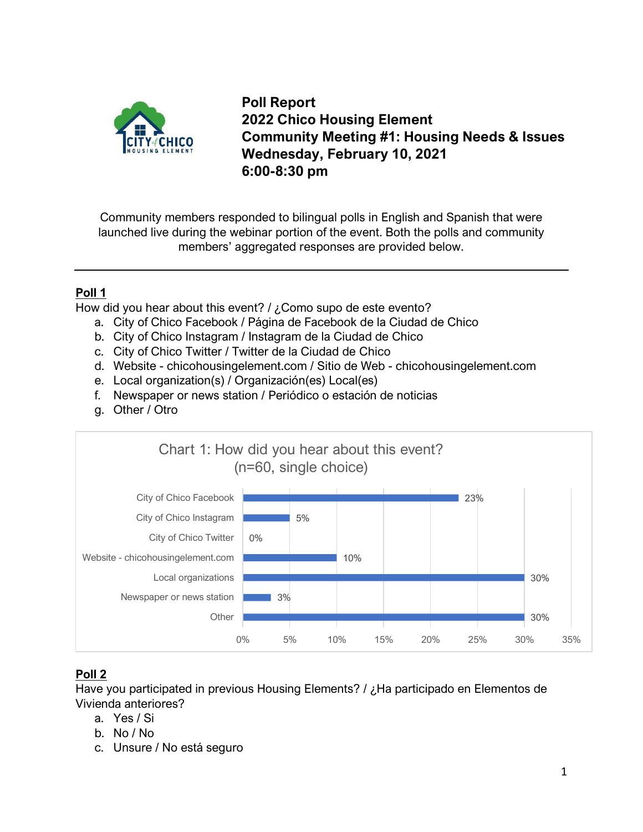

**Poll Report 2022 Chico Housing Element Community Meeting #1: Housing Needs & Issues Wednesday, February 10, 2021 6:00-8:30 pm**

Community members responded to bilingual polls in English and Spanish that were launched live during the webinar portion of the event. Both the polls and community members' aggregated responses are provided below.

## **Poll 1**

How did you hear about this event? / ¿Como supo de este evento?

- a. City of Chico Facebook / Página de Facebook de la Ciudad de Chico
- b. City of Chico Instagram / Instagram de la Ciudad de Chico
- c. City of Chico Twitter / Twitter de la Ciudad de Chico
- d. Website chicohousingelement.com / Sitio de Web chicohousingelement.com
- e. Local organization(s) / Organización(es) Local(es)
- f. Newspaper or news station / Periódico o estación de noticias
- g. Other / Otro



## **Poll 2**

Have you participated in previous Housing Elements? / ¿Ha participado en Elementos de Vivienda anteriores?

- a. Yes / Si
- b. No / No
- c. Unsure / No está seguro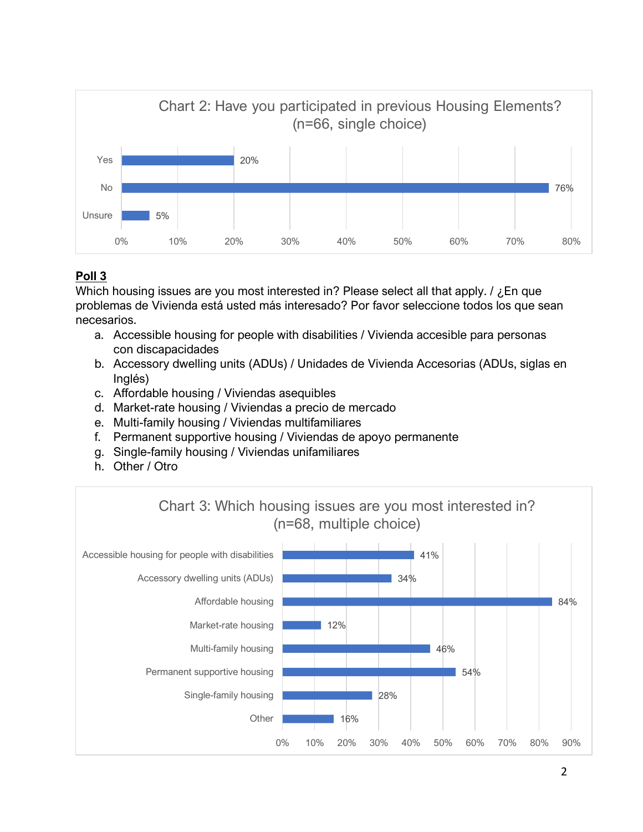

## **Poll 3**

Which housing issues are you most interested in? Please select all that apply. / ¿En que problemas de Vivienda está usted más interesado? Por favor seleccione todos los que sean necesarios.

- a. Accessible housing for people with disabilities / Vivienda accesible para personas con discapacidades
- b. Accessory dwelling units (ADUs) / Unidades de Vivienda Accesorias (ADUs, siglas en Inglés)
- c. Affordable housing / Viviendas asequibles
- d. Market-rate housing / Viviendas a precio de mercado
- e. Multi-family housing / Viviendas multifamiliares
- f. Permanent supportive housing / Viviendas de apoyo permanente
- g. Single-family housing / Viviendas unifamiliares
- h. Other / Otro